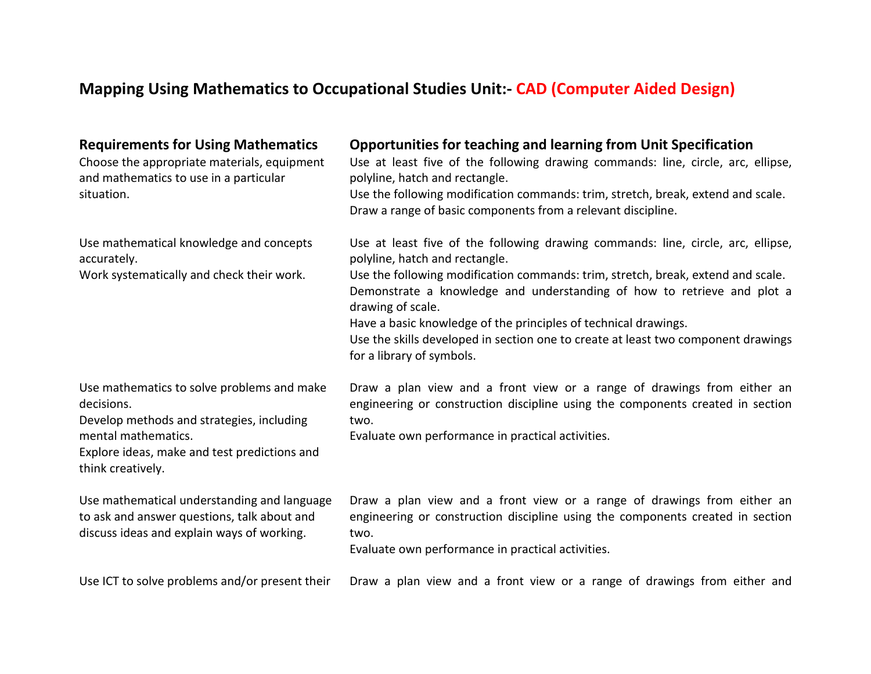## **Mapping Using Mathematics to Occupational Studies Unit:- CAD (Computer Aided Design)**

| <b>Requirements for Using Mathematics</b><br>Choose the appropriate materials, equipment<br>and mathematics to use in a particular<br>situation.                                                  | <b>Opportunities for teaching and learning from Unit Specification</b><br>Use at least five of the following drawing commands: line, circle, arc, ellipse,<br>polyline, hatch and rectangle.<br>Use the following modification commands: trim, stretch, break, extend and scale.<br>Draw a range of basic components from a relevant discipline.                                                                                                                                            |
|---------------------------------------------------------------------------------------------------------------------------------------------------------------------------------------------------|---------------------------------------------------------------------------------------------------------------------------------------------------------------------------------------------------------------------------------------------------------------------------------------------------------------------------------------------------------------------------------------------------------------------------------------------------------------------------------------------|
| Use mathematical knowledge and concepts<br>accurately.<br>Work systematically and check their work.                                                                                               | Use at least five of the following drawing commands: line, circle, arc, ellipse,<br>polyline, hatch and rectangle.<br>Use the following modification commands: trim, stretch, break, extend and scale.<br>Demonstrate a knowledge and understanding of how to retrieve and plot a<br>drawing of scale.<br>Have a basic knowledge of the principles of technical drawings.<br>Use the skills developed in section one to create at least two component drawings<br>for a library of symbols. |
| Use mathematics to solve problems and make<br>decisions.<br>Develop methods and strategies, including<br>mental mathematics.<br>Explore ideas, make and test predictions and<br>think creatively. | Draw a plan view and a front view or a range of drawings from either an<br>engineering or construction discipline using the components created in section<br>two.<br>Evaluate own performance in practical activities.                                                                                                                                                                                                                                                                      |
| Use mathematical understanding and language<br>to ask and answer questions, talk about and<br>discuss ideas and explain ways of working.                                                          | Draw a plan view and a front view or a range of drawings from either an<br>engineering or construction discipline using the components created in section<br>two.<br>Evaluate own performance in practical activities.                                                                                                                                                                                                                                                                      |
| Use ICT to solve problems and/or present their                                                                                                                                                    | Draw a plan view and a front view or a range of drawings from either and                                                                                                                                                                                                                                                                                                                                                                                                                    |